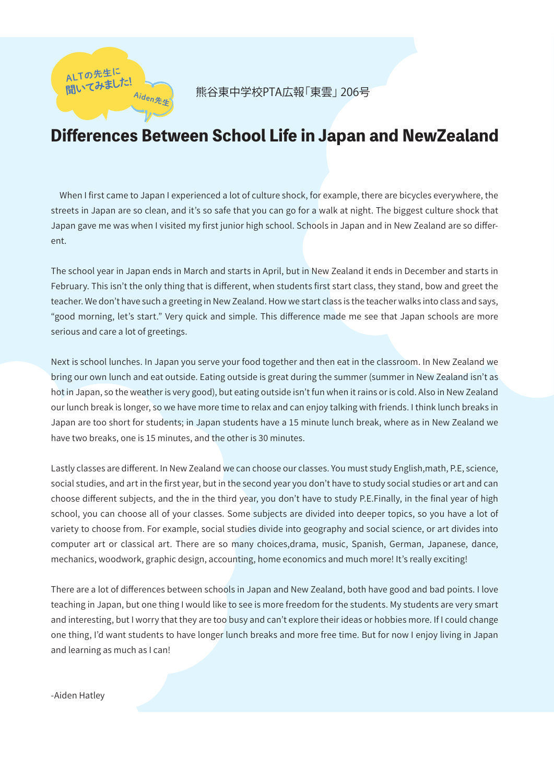

## Differences Between School Life in Japan and NewZealand

 When I first came to Japan I experienced a lot of culture shock, for example, there are bicycles everywhere, the streets in Japan are so clean, and it's so safe that you can go for a walk at night. The biggest culture shock that Japan gave me was when I visited my first junior high school. Schools in Japan and in New Zealand are so different.

The school year in Japan ends in March and starts in April, but in New Zealand it ends in December and starts in February. This isn't the only thing that is different, when students first start class, they stand, bow and greet the teacher. We don't have such a greeting in New Zealand. How we start class is the teacher walks into class and says, "good morning, let's start." Very quick and simple. This difference made me see that Japan schools are more serious and care a lot of greetings.

Next is school lunches. In Japan you serve your food together and then eat in the classroom. In New Zealand we bring our own lunch and eat outside. Eating outside is great during the summer (summer in New Zealand isn't as hot in Japan, so the weather is very good), but eating outside isn't fun when it rains or is cold. Also in New Zealand our lunch break is longer, so we have more time to relax and can enjoy talking with friends. I think lunch breaks in Japan are too short for students; in Japan students have a 15 minute lunch break, where as in New Zealand we have two breaks, one is 15 minutes, and the other is 30 minutes.

Lastly classes are different. In New Zealand we can choose our classes. You must study English,math, P.E, science, social studies, and art in the first year, but in the second year you don't have to study social studies or art and can choose different subjects, and the in the third year, you don't have to study P.E.Finally, in the final year of high school, you can choose all of your classes. Some subjects are divided into deeper topics, so you have a lot of variety to choose from. For example, social studies divide into geography and social science, or art divides into computer art or classical art. There are so many choices,drama, music, Spanish, German, Japanese, dance, mechanics, woodwork, graphic design, accounting, home economics and much more! It's really exciting!

There are a lot of differences between schools in Japan and New Zealand, both have good and bad points. I love teaching in Japan, but one thing I would like to see is more freedom for the students. My students are very smart and interesting, but I worry that they are too busy and can't explore their ideas or hobbies more. If I could change one thing, I'd want students to have longer lunch breaks and more free time. But for now I enjoy living in Japan and learning as much as I can!

-Aiden Hatley